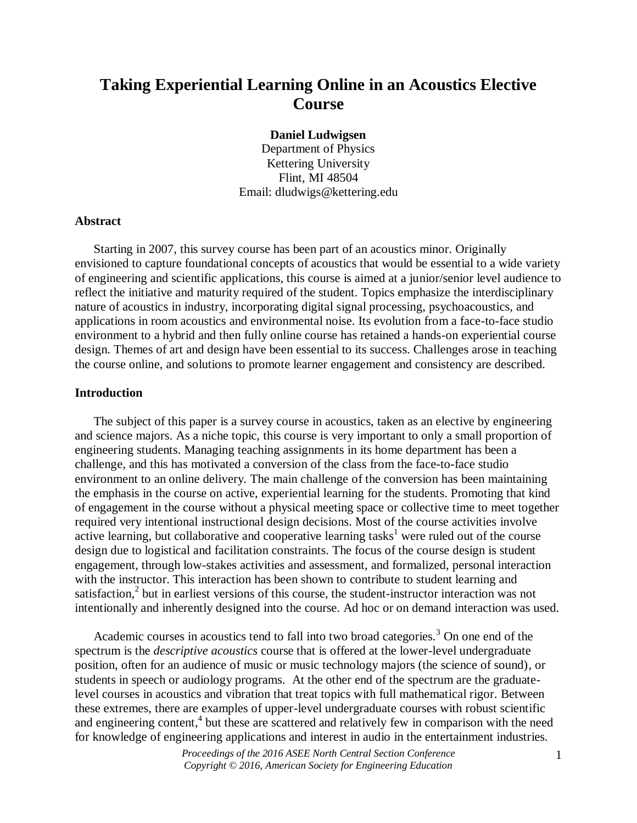# **Taking Experiential Learning Online in an Acoustics Elective Course**

### **Daniel Ludwigsen**

Department of Physics Kettering University Flint, MI 48504 Email: dludwigs@kettering.edu

#### **Abstract**

Starting in 2007, this survey course has been part of an acoustics minor. Originally envisioned to capture foundational concepts of acoustics that would be essential to a wide variety of engineering and scientific applications, this course is aimed at a junior/senior level audience to reflect the initiative and maturity required of the student. Topics emphasize the interdisciplinary nature of acoustics in industry, incorporating digital signal processing, psychoacoustics, and applications in room acoustics and environmental noise. Its evolution from a face-to-face studio environment to a hybrid and then fully online course has retained a hands-on experiential course design. Themes of art and design have been essential to its success. Challenges arose in teaching the course online, and solutions to promote learner engagement and consistency are described.

# **Introduction**

The subject of this paper is a survey course in acoustics, taken as an elective by engineering and science majors. As a niche topic, this course is very important to only a small proportion of engineering students. Managing teaching assignments in its home department has been a challenge, and this has motivated a conversion of the class from the face-to-face studio environment to an online delivery. The main challenge of the conversion has been maintaining the emphasis in the course on active, experiential learning for the students. Promoting that kind of engagement in the course without a physical meeting space or collective time to meet together required very intentional instructional design decisions. Most of the course activities involve active learning, but collaborative and cooperative learning tasks<sup>1</sup> were ruled out of the course design due to logistical and facilitation constraints. The focus of the course design is student engagement, through low-stakes activities and assessment, and formalized, personal interaction with the instructor. This interaction has been shown to contribute to student learning and satisfaction,<sup>2</sup> but in earliest versions of this course, the student-instructor interaction was not intentionally and inherently designed into the course. Ad hoc or on demand interaction was used.

Academic courses in acoustics tend to fall into two broad categories.<sup>3</sup> On one end of the spectrum is the *descriptive acoustics* course that is offered at the lower-level undergraduate position, often for an audience of music or music technology majors (the science of sound), or students in speech or audiology programs. At the other end of the spectrum are the graduatelevel courses in acoustics and vibration that treat topics with full mathematical rigor. Between these extremes, there are examples of upper-level undergraduate courses with robust scientific and engineering content, 4 but these are scattered and relatively few in comparison with the need for knowledge of engineering applications and interest in audio in the entertainment industries.

> *Proceedings of the 2016 ASEE North Central Section Conference Copyright © 2016, American Society for Engineering Education*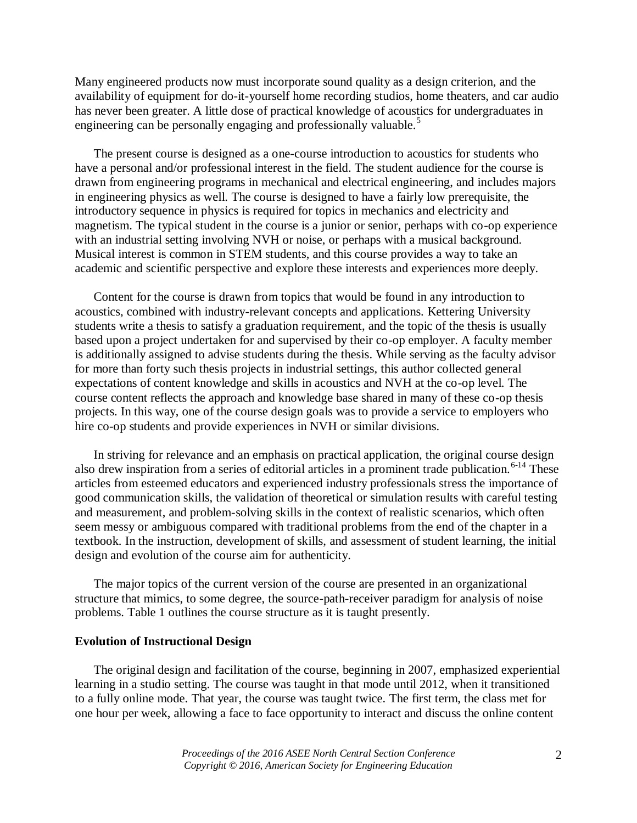Many engineered products now must incorporate sound quality as a design criterion, and the availability of equipment for do-it-yourself home recording studios, home theaters, and car audio has never been greater. A little dose of practical knowledge of acoustics for undergraduates in engineering can be personally engaging and professionally valuable.<sup>5</sup>

The present course is designed as a one-course introduction to acoustics for students who have a personal and/or professional interest in the field. The student audience for the course is drawn from engineering programs in mechanical and electrical engineering, and includes majors in engineering physics as well. The course is designed to have a fairly low prerequisite, the introductory sequence in physics is required for topics in mechanics and electricity and magnetism. The typical student in the course is a junior or senior, perhaps with co-op experience with an industrial setting involving NVH or noise, or perhaps with a musical background. Musical interest is common in STEM students, and this course provides a way to take an academic and scientific perspective and explore these interests and experiences more deeply.

Content for the course is drawn from topics that would be found in any introduction to acoustics, combined with industry-relevant concepts and applications. Kettering University students write a thesis to satisfy a graduation requirement, and the topic of the thesis is usually based upon a project undertaken for and supervised by their co-op employer. A faculty member is additionally assigned to advise students during the thesis. While serving as the faculty advisor for more than forty such thesis projects in industrial settings, this author collected general expectations of content knowledge and skills in acoustics and NVH at the co-op level. The course content reflects the approach and knowledge base shared in many of these co-op thesis projects. In this way, one of the course design goals was to provide a service to employers who hire co-op students and provide experiences in NVH or similar divisions.

In striving for relevance and an emphasis on practical application, the original course design also drew inspiration from a series of editorial articles in a prominent trade publication.<sup>6-14</sup> These articles from esteemed educators and experienced industry professionals stress the importance of good communication skills, the validation of theoretical or simulation results with careful testing and measurement, and problem-solving skills in the context of realistic scenarios, which often seem messy or ambiguous compared with traditional problems from the end of the chapter in a textbook. In the instruction, development of skills, and assessment of student learning, the initial design and evolution of the course aim for authenticity.

The major topics of the current version of the course are presented in an organizational structure that mimics, to some degree, the source-path-receiver paradigm for analysis of noise problems. Table 1 outlines the course structure as it is taught presently.

#### **Evolution of Instructional Design**

The original design and facilitation of the course, beginning in 2007, emphasized experiential learning in a studio setting. The course was taught in that mode until 2012, when it transitioned to a fully online mode. That year, the course was taught twice. The first term, the class met for one hour per week, allowing a face to face opportunity to interact and discuss the online content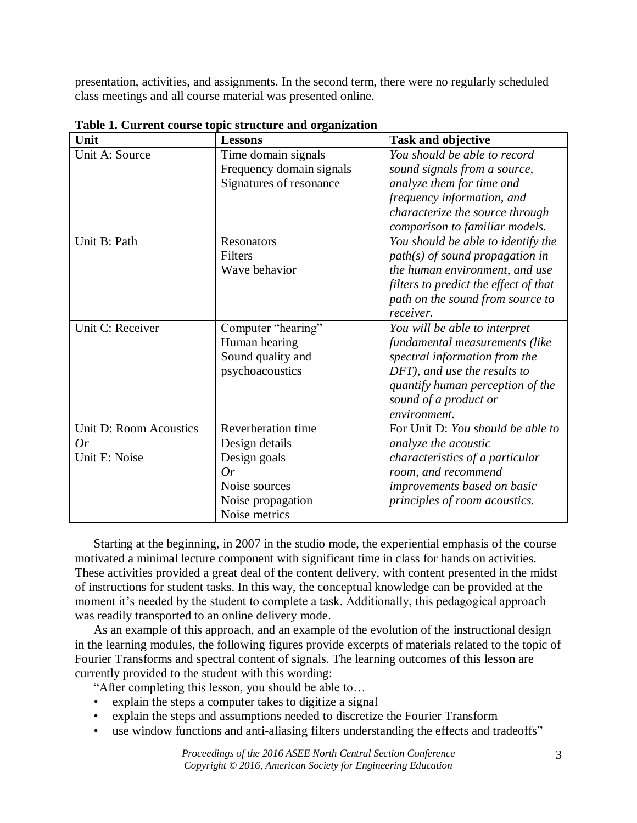presentation, activities, and assignments. In the second term, there were no regularly scheduled class meetings and all course material was presented online.

| Unit                   | <b>Lessons</b>           | <b>Task and objective</b>             |
|------------------------|--------------------------|---------------------------------------|
| Unit A: Source         | Time domain signals      | You should be able to record          |
|                        | Frequency domain signals | sound signals from a source,          |
|                        | Signatures of resonance  | analyze them for time and             |
|                        |                          | frequency information, and            |
|                        |                          | characterize the source through       |
|                        |                          | comparison to familiar models.        |
| Unit B: Path           | <b>Resonators</b>        | You should be able to identify the    |
|                        | Filters                  | $path(s)$ of sound propagation in     |
|                        | Wave behavior            | the human environment, and use        |
|                        |                          | filters to predict the effect of that |
|                        |                          | path on the sound from source to      |
|                        |                          | receiver.                             |
| Unit C: Receiver       | Computer "hearing"       | You will be able to interpret         |
|                        | Human hearing            | fundamental measurements (like        |
|                        | Sound quality and        | spectral information from the         |
|                        | psychoacoustics          | DFT), and use the results to          |
|                        |                          | quantify human perception of the      |
|                        |                          | sound of a product or                 |
|                        |                          | environment.                          |
| Unit D: Room Acoustics | Reverberation time       | For Unit D: You should be able to     |
| Or                     | Design details           | analyze the acoustic                  |
| Unit E: Noise          | Design goals             | characteristics of a particular       |
|                        | Or                       | room, and recommend                   |
|                        | Noise sources            | improvements based on basic           |
|                        | Noise propagation        | principles of room acoustics.         |
|                        | Noise metrics            |                                       |

**Table 1. Current course topic structure and organization**

Starting at the beginning, in 2007 in the studio mode, the experiential emphasis of the course motivated a minimal lecture component with significant time in class for hands on activities. These activities provided a great deal of the content delivery, with content presented in the midst of instructions for student tasks. In this way, the conceptual knowledge can be provided at the moment it's needed by the student to complete a task. Additionally, this pedagogical approach was readily transported to an online delivery mode.

As an example of this approach, and an example of the evolution of the instructional design in the learning modules, the following figures provide excerpts of materials related to the topic of Fourier Transforms and spectral content of signals. The learning outcomes of this lesson are currently provided to the student with this wording:

"After completing this lesson, you should be able to…

- explain the steps a computer takes to digitize a signal
- explain the steps and assumptions needed to discretize the Fourier Transform
- use window functions and anti-aliasing filters understanding the effects and tradeoffs"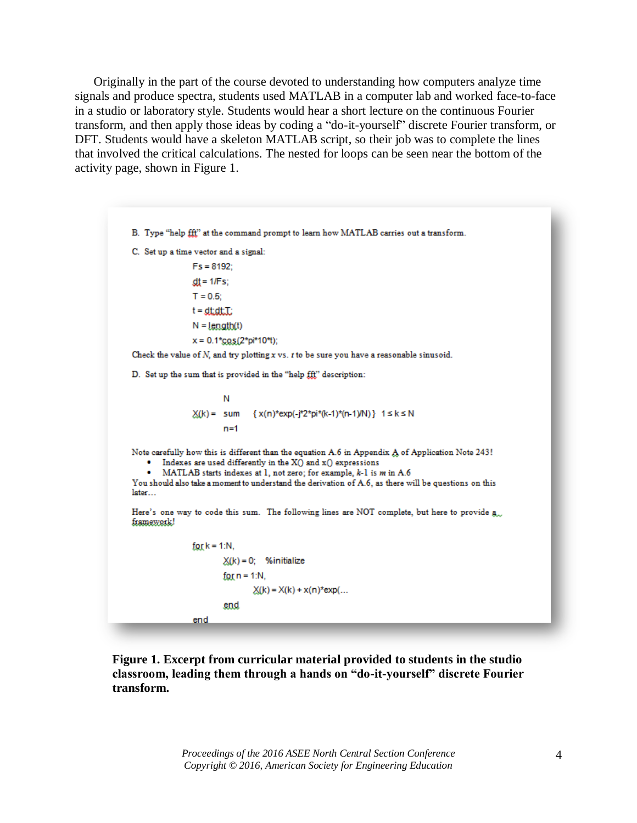Originally in the part of the course devoted to understanding how computers analyze time signals and produce spectra, students used MATLAB in a computer lab and worked face-to-face in a studio or laboratory style. Students would hear a short lecture on the continuous Fourier transform, and then apply those ideas by coding a "do-it-yourself" discrete Fourier transform, or DFT. Students would have a skeleton MATLAB script, so their job was to complete the lines that involved the critical calculations. The nested for loops can be seen near the bottom of the activity page, shown in Figure 1.

B. Type "help fff" at the command prompt to learn how MATLAB carries out a transform. C. Set up a time vector and a signal:  $Fs = 8192$ :  $dt = 1/Fs$ ;  $T = 0.5$ ;  $t = dtdt$ : $T$ :  $N = length(t)$  $x = 0.1*$ <sub>COS</sub> $(2*pi*10*$ t); Check the value of  $N$ , and try plotting  $x$  vs.  $t$  to be sure you have a reasonable sinusoid. D. Set up the sum that is provided in the "help fff," description: N  $X(k) =$  sum { x(n)\*exp(-j\*2\*pi\*(k-1)\*(n-1)/N) } 1 ≤ k ≤ N  $n=1$ Note carefully how this is different than the equation A.6 in Appendix A of Application Note 243! • Indexes are used differently in the X() and x() expressions • MATLAB starts indexes at 1, not zero; for example, k-1 is m in A.6 You should also take a moment to understand the derivation of A.6, as there will be questions on this later... Here's one way to code this sum. The following lines are NOT complete, but here to provide a. framework!  $for k = 1:N.$  $X(k) = 0$ ; %initialize for  $n = 1:N$ ,  $X(k) = X(k) + x(n)^*exp(...$ end end

**Figure 1. Excerpt from curricular material provided to students in the studio classroom, leading them through a hands on "do-it-yourself" discrete Fourier transform.**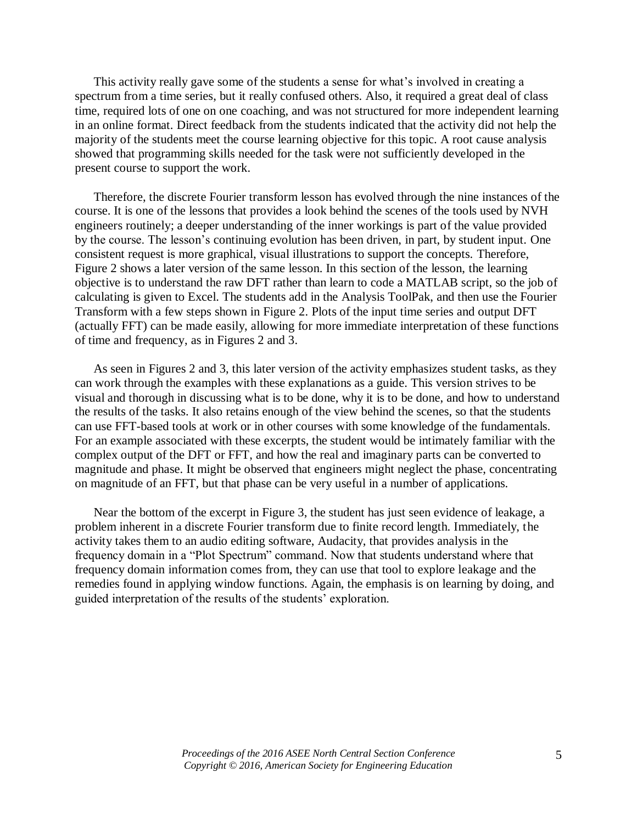This activity really gave some of the students a sense for what's involved in creating a spectrum from a time series, but it really confused others. Also, it required a great deal of class time, required lots of one on one coaching, and was not structured for more independent learning in an online format. Direct feedback from the students indicated that the activity did not help the majority of the students meet the course learning objective for this topic. A root cause analysis showed that programming skills needed for the task were not sufficiently developed in the present course to support the work.

Therefore, the discrete Fourier transform lesson has evolved through the nine instances of the course. It is one of the lessons that provides a look behind the scenes of the tools used by NVH engineers routinely; a deeper understanding of the inner workings is part of the value provided by the course. The lesson's continuing evolution has been driven, in part, by student input. One consistent request is more graphical, visual illustrations to support the concepts. Therefore, Figure 2 shows a later version of the same lesson. In this section of the lesson, the learning objective is to understand the raw DFT rather than learn to code a MATLAB script, so the job of calculating is given to Excel. The students add in the Analysis ToolPak, and then use the Fourier Transform with a few steps shown in Figure 2. Plots of the input time series and output DFT (actually FFT) can be made easily, allowing for more immediate interpretation of these functions of time and frequency, as in Figures 2 and 3.

As seen in Figures 2 and 3, this later version of the activity emphasizes student tasks, as they can work through the examples with these explanations as a guide. This version strives to be visual and thorough in discussing what is to be done, why it is to be done, and how to understand the results of the tasks. It also retains enough of the view behind the scenes, so that the students can use FFT-based tools at work or in other courses with some knowledge of the fundamentals. For an example associated with these excerpts, the student would be intimately familiar with the complex output of the DFT or FFT, and how the real and imaginary parts can be converted to magnitude and phase. It might be observed that engineers might neglect the phase, concentrating on magnitude of an FFT, but that phase can be very useful in a number of applications.

Near the bottom of the excerpt in Figure 3, the student has just seen evidence of leakage, a problem inherent in a discrete Fourier transform due to finite record length. Immediately, the activity takes them to an audio editing software, Audacity, that provides analysis in the frequency domain in a "Plot Spectrum" command. Now that students understand where that frequency domain information comes from, they can use that tool to explore leakage and the remedies found in applying window functions. Again, the emphasis is on learning by doing, and guided interpretation of the results of the students' exploration.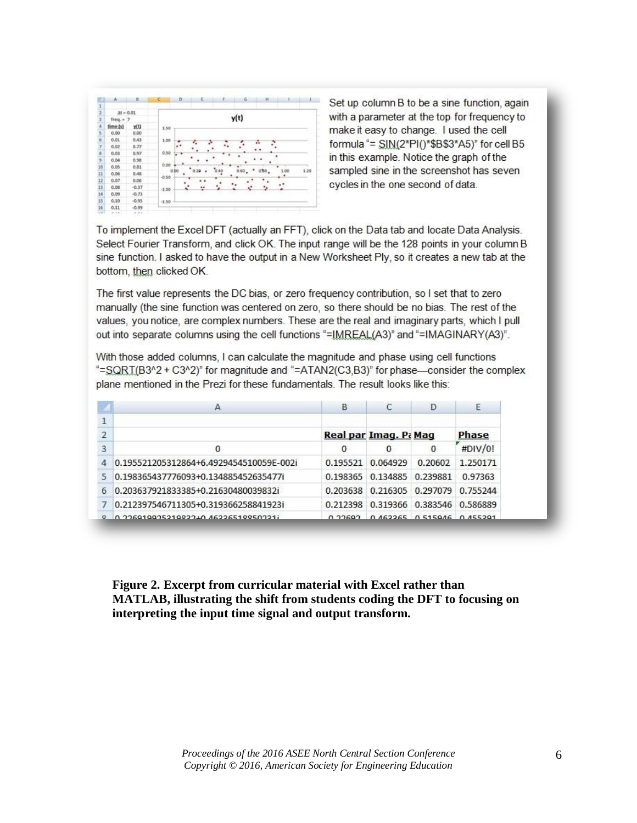

Set up column B to be a sine function, again with a parameter at the top for frequency to make it easy to change. I used the cell formula "= SIN(2\*PI()\*\$B\$3\*A5)" for cell B5 in this example. Notice the graph of the sampled sine in the screenshot has seven cycles in the one second of data.

To implement the Excel DFT (actually an FFT), click on the Data tab and locate Data Analysis. Select Fourier Transform, and click OK. The input range will be the 128 points in your column B sine function. I asked to have the output in a New Worksheet Ply, so it creates a new tab at the bottom, then clicked OK.

The first value represents the DC bias, or zero frequency contribution, so I set that to zero manually (the sine function was centered on zero, so there should be no bias. The rest of the values, you notice, are complex numbers. These are the real and imaginary parts, which I pull out into separate columns using the cell functions "=IMREAL(A3)" and "=IMAGINARY(A3)".

With those added columns, I can calculate the magnitude and phase using cell functions "=SQRT(B3^2 + C3^2)" for magnitude and "=ATAN2(C3,B3)" for phase—consider the complex plane mentioned in the Prezi for these fundamentals. The result looks like this:

|                |                                         | B        |                            | D                          | Ε        |  |
|----------------|-----------------------------------------|----------|----------------------------|----------------------------|----------|--|
|                |                                         |          |                            |                            |          |  |
| $\overline{2}$ |                                         |          | Real par Imag. Pi Mag      |                            | Phase    |  |
| 3              | 0                                       | 0        | 0                          | 0                          | #DIV/0!  |  |
|                | 0.195521205312864+6.4929454510059E-002i | 0.195521 | 0.064929                   | 0.20602                    | 1.250171 |  |
|                | 0.198365437776093+0.134885452635477i    |          | 0.198365 0.134885 0.239881 |                            | 0.97363  |  |
| 6              | 0.203637921833385+0.21630480039832i     | 0.203638 |                            | 0.216305 0.297079          | 0.755244 |  |
|                | 0.212397546711305+0.319366258841923i    | 0.212398 |                            | 0.319366 0.383546 0.586889 |          |  |
|                | 0.33601003521003340.46336510050331      | 0.33693  |                            | 0 462265 0 515046 0 455201 |          |  |

**Figure 2. Excerpt from curricular material with Excel rather than MATLAB, illustrating the shift from students coding the DFT to focusing on interpreting the input time signal and output transform.**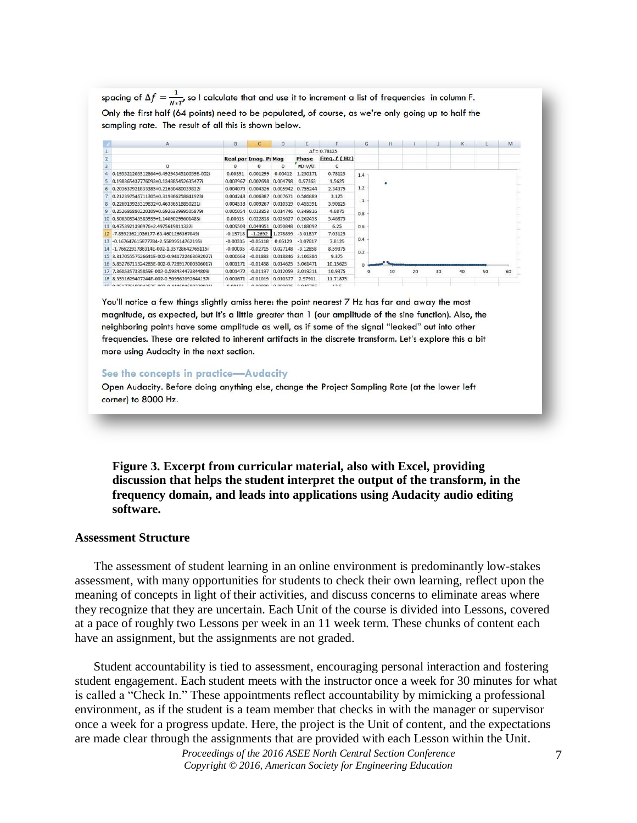spacing of  $\Delta f = \frac{1}{N*\tau'}$ , so I calculate that and use it to increment a list of frequencies in column F. Only the first half (64 points) need to be populated, of course, as we're only going up to half the sampling rate. The result of all this is shown below.

|    | $\mathbf{A}$                                | в.         | c                     | Ð                               |                            |                      | G        | H  |    |    | к  |    | M      |
|----|---------------------------------------------|------------|-----------------------|---------------------------------|----------------------------|----------------------|----------|----|----|----|----|----|--------|
|    |                                             |            |                       |                                 |                            | $\Delta f = 0.78125$ |          |    |    |    |    |    |        |
|    |                                             |            | Real par Imag. Pr Mag |                                 | Phase                      | Freq. $f(Hz)$        |          |    |    |    |    |    |        |
|    | $^{\circ}$                                  | 0          | 0                     | $\bf{0}$                        | #DIV/0!                    | $\circ$              |          |    |    |    |    |    |        |
|    | 0.195521205312864+6.4929454510059E-002i     | 0.00391    | 0.001299              | 0.00412                         | 1.250171                   | 0.78125              | $1.4 -$  |    |    |    |    |    |        |
|    | 0.198365437776093+0.134885452635477i        | 0.003967   | 0.002698              | 0.004798                        | 0.97363                    | 1.5625               |          | ٠  |    |    |    |    |        |
|    | 0.203637921833385+0.21630480039832i         | 0.004073   | 0.004326              |                                 | 0.005942 0.755244          | 2.34375              | 1.2      |    |    |    |    |    |        |
|    | 0.212397546711305+0.319366258841923i        | 0.004248   | 0.006387              |                                 | 0.007671 0.586889          | 3.125                |          |    |    |    |    |    |        |
|    | 0.226919925319832+0.46336518850231i         | 0.004538   | 0.009267              |                                 | 0.010319 0.455391          | 3.90625              | $1\,$    |    |    |    |    |    |        |
|    | 0.252686880220109+0.692633999505879i        | 0.005054   |                       |                                 | 0.013853 0.014746 0.349816 | 4.6875               | 0.8      |    |    |    |    |    |        |
|    | 0.306503545385939+1.14090299601483i         | 0.00613    | 0.022818              |                                 | 0.023627 0.262453          | 5.46875              |          |    |    |    |    |    |        |
|    | 0.4753921396976+2.4975619811332i            |            | 0.009508 0.049951     |                                 | 0.050848 0.188092          | 6.25                 | 0.6      |    |    |    |    |    |        |
|    | -7.85923621036177-63.4601266367049i         |            | $-0.15718$ $-1.2692$  | 1.278899                        | $-3.01837$                 | 7.03125              |          |    |    |    |    |    |        |
|    | -0.167647615877784-2.55899514762195         | $-0.00335$ | $-0.05118$            | 0.05129                         | $-3.07617$                 | 7.8125               | 0.4      |    |    |    |    |    |        |
|    | -1.7662293786314F-002-1.35728642765115i     | $-0.00035$ | $-0.02715$            | 0.027148                        | $-3.12858$                 | 8.59375              | ಜಜ       |    |    |    |    |    |        |
| 15 | 3.31705557626641F-002-0.941722463692027i    | 0.000663   | $-0.01883$            |                                 | 0.018846 3.106384          | 9,375                | 0.2      |    |    |    |    |    |        |
|    | 5.85276711324285E-002-0.728917000306017i    | 0.001171   | $-0.01458$            |                                 | 0.014625 3.061471          | 10.15625             | $\Omega$ |    |    |    |    |    |        |
|    | 7.3605357335859E-002-0.598434473844809i     | 0.001472   | $-0.01197$            |                                 | 0.012059 3.019211          | 10.9375              | $\circ$  | 10 | 20 | 30 | 40 | 50 | 60     |
|    | 8.3531629407244E-002-0.509562092644157i     | 0.001671   | $-0.01019$            | 0.010327                        | 2.97911                    | 11,71875             |          |    |    |    |    |    | 34 S.Y |
|    | 10 0 051776100043535 003 0 4446046003900344 | 0.00101    |                       | $0.00000$ $0.000076$ $2.000705$ |                            | 32E                  |          |    |    |    |    |    |        |

You'll notice a few things slightly amiss here: the point nearest 7 Hz has far and away the most magnitude, as expected, but it's a little greater than 1 (our amplitude of the sine function). Also, the neighboring points have some amplitude as well, as if some of the signal "leaked" out into other frequencies. These are related to inherent artifacts in the discrete transform. Let's explore this a bit more using Audacity in the next section.

#### See the concepts in practice-Audacity

Open Audacity. Before doing anything else, change the Project Sampling Rate (at the lower left corner) to 8000 Hz.

**Figure 3. Excerpt from curricular material, also with Excel, providing discussion that helps the student interpret the output of the transform, in the frequency domain, and leads into applications using Audacity audio editing software.**

#### **Assessment Structure**

The assessment of student learning in an online environment is predominantly low-stakes assessment, with many opportunities for students to check their own learning, reflect upon the meaning of concepts in light of their activities, and discuss concerns to eliminate areas where they recognize that they are uncertain. Each Unit of the course is divided into Lessons, covered at a pace of roughly two Lessons per week in an 11 week term. These chunks of content each have an assignment, but the assignments are not graded.

Student accountability is tied to assessment, encouraging personal interaction and fostering student engagement. Each student meets with the instructor once a week for 30 minutes for what is called a "Check In." These appointments reflect accountability by mimicking a professional environment, as if the student is a team member that checks in with the manager or supervisor once a week for a progress update. Here, the project is the Unit of content, and the expectations are made clear through the assignments that are provided with each Lesson within the Unit.

> *Proceedings of the 2016 ASEE North Central Section Conference Copyright © 2016, American Society for Engineering Education*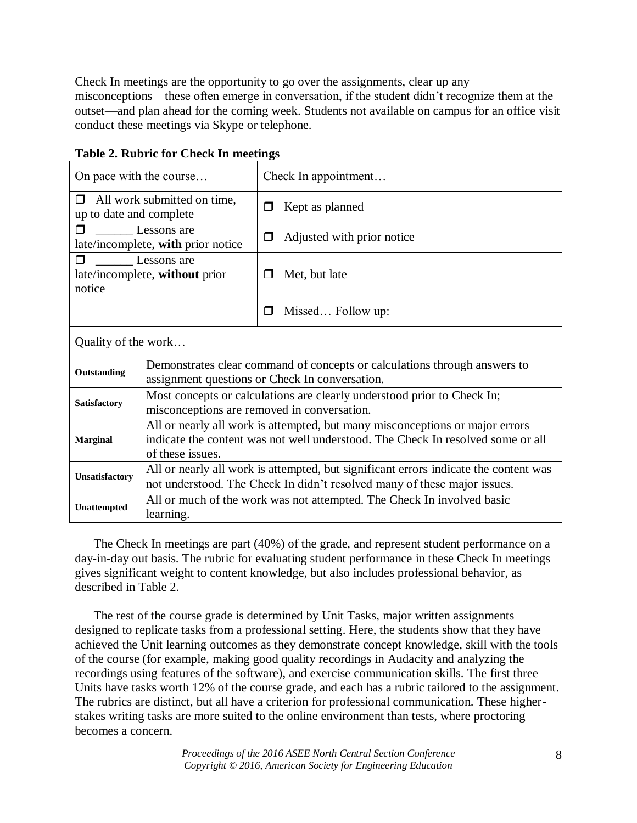Check In meetings are the opportunity to go over the assignments, clear up any misconceptions—these often emerge in conversation, if the student didn't recognize them at the outset—and plan ahead for the coming week. Students not available on campus for an office visit conduct these meetings via Skype or telephone.

| On pace with the course                                          |                                                                                                                                                                                     |   | Check In appointment       |  |  |  |  |  |
|------------------------------------------------------------------|-------------------------------------------------------------------------------------------------------------------------------------------------------------------------------------|---|----------------------------|--|--|--|--|--|
| All work submitted on time,<br>$\Box$<br>up to date and complete |                                                                                                                                                                                     | □ | Kept as planned            |  |  |  |  |  |
| Lessons are<br>⊓<br>late/incomplete, with prior notice           |                                                                                                                                                                                     | ⊓ | Adjusted with prior notice |  |  |  |  |  |
| ⊓<br>Lessons are<br>late/incomplete, without prior<br>notice     |                                                                                                                                                                                     | ⊓ | Met, but late              |  |  |  |  |  |
|                                                                  |                                                                                                                                                                                     | □ | Missed Follow up:          |  |  |  |  |  |
| Quality of the work                                              |                                                                                                                                                                                     |   |                            |  |  |  |  |  |
| Outstanding                                                      | Demonstrates clear command of concepts or calculations through answers to<br>assignment questions or Check In conversation.                                                         |   |                            |  |  |  |  |  |
| Satisfactory                                                     | Most concepts or calculations are clearly understood prior to Check In;<br>misconceptions are removed in conversation.                                                              |   |                            |  |  |  |  |  |
| <b>Marginal</b>                                                  | All or nearly all work is attempted, but many misconceptions or major errors<br>indicate the content was not well understood. The Check In resolved some or all<br>of these issues. |   |                            |  |  |  |  |  |
| Unsatisfactory                                                   | All or nearly all work is attempted, but significant errors indicate the content was<br>not understood. The Check In didn't resolved many of these major issues.                    |   |                            |  |  |  |  |  |
| Unattempted                                                      | All or much of the work was not attempted. The Check In involved basic<br>learning.                                                                                                 |   |                            |  |  |  |  |  |

# **Table 2. Rubric for Check In meetings**

The Check In meetings are part (40%) of the grade, and represent student performance on a day-in-day out basis. The rubric for evaluating student performance in these Check In meetings gives significant weight to content knowledge, but also includes professional behavior, as described in Table 2.

The rest of the course grade is determined by Unit Tasks, major written assignments designed to replicate tasks from a professional setting. Here, the students show that they have achieved the Unit learning outcomes as they demonstrate concept knowledge, skill with the tools of the course (for example, making good quality recordings in Audacity and analyzing the recordings using features of the software), and exercise communication skills. The first three Units have tasks worth 12% of the course grade, and each has a rubric tailored to the assignment. The rubrics are distinct, but all have a criterion for professional communication. These higherstakes writing tasks are more suited to the online environment than tests, where proctoring becomes a concern.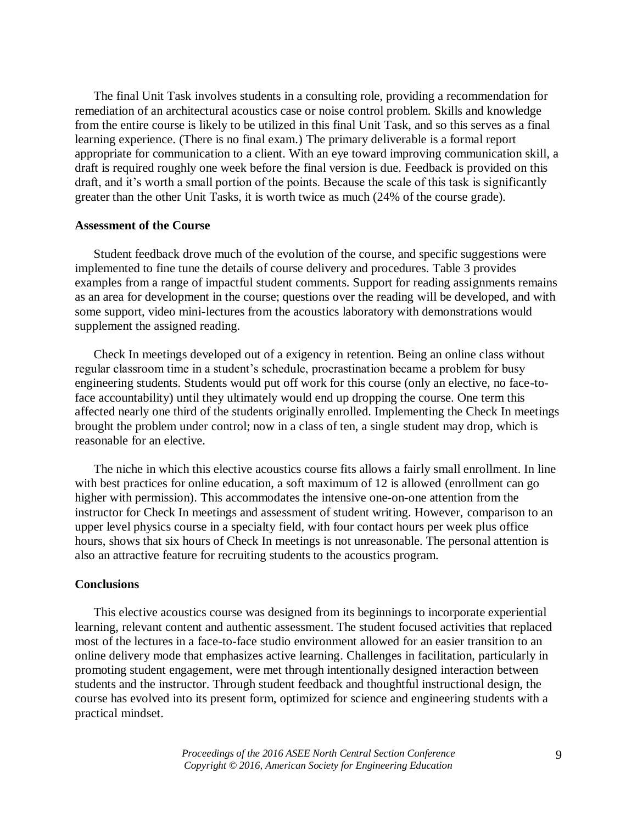The final Unit Task involves students in a consulting role, providing a recommendation for remediation of an architectural acoustics case or noise control problem. Skills and knowledge from the entire course is likely to be utilized in this final Unit Task, and so this serves as a final learning experience. (There is no final exam.) The primary deliverable is a formal report appropriate for communication to a client. With an eye toward improving communication skill, a draft is required roughly one week before the final version is due. Feedback is provided on this draft, and it's worth a small portion of the points. Because the scale of this task is significantly greater than the other Unit Tasks, it is worth twice as much (24% of the course grade).

#### **Assessment of the Course**

Student feedback drove much of the evolution of the course, and specific suggestions were implemented to fine tune the details of course delivery and procedures. Table 3 provides examples from a range of impactful student comments. Support for reading assignments remains as an area for development in the course; questions over the reading will be developed, and with some support, video mini-lectures from the acoustics laboratory with demonstrations would supplement the assigned reading.

Check In meetings developed out of a exigency in retention. Being an online class without regular classroom time in a student's schedule, procrastination became a problem for busy engineering students. Students would put off work for this course (only an elective, no face-toface accountability) until they ultimately would end up dropping the course. One term this affected nearly one third of the students originally enrolled. Implementing the Check In meetings brought the problem under control; now in a class of ten, a single student may drop, which is reasonable for an elective.

The niche in which this elective acoustics course fits allows a fairly small enrollment. In line with best practices for online education, a soft maximum of 12 is allowed (enrollment can go higher with permission). This accommodates the intensive one-on-one attention from the instructor for Check In meetings and assessment of student writing. However, comparison to an upper level physics course in a specialty field, with four contact hours per week plus office hours, shows that six hours of Check In meetings is not unreasonable. The personal attention is also an attractive feature for recruiting students to the acoustics program.

#### **Conclusions**

This elective acoustics course was designed from its beginnings to incorporate experiential learning, relevant content and authentic assessment. The student focused activities that replaced most of the lectures in a face-to-face studio environment allowed for an easier transition to an online delivery mode that emphasizes active learning. Challenges in facilitation, particularly in promoting student engagement, were met through intentionally designed interaction between students and the instructor. Through student feedback and thoughtful instructional design, the course has evolved into its present form, optimized for science and engineering students with a practical mindset.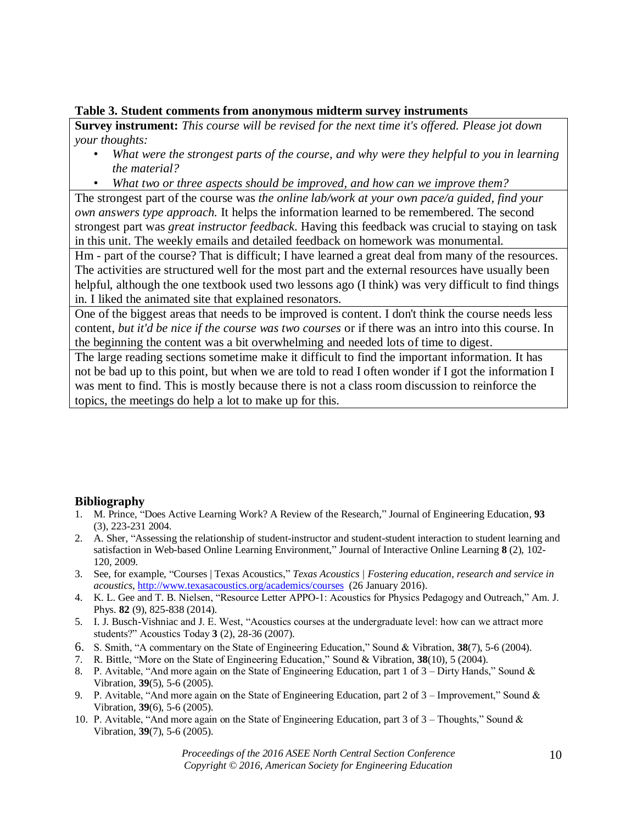## **Table 3. Student comments from anonymous midterm survey instruments**

**Survey instrument:** *This course will be revised for the next time it's offered. Please jot down your thoughts:* 

- *What were the strongest parts of the course, and why were they helpful to you in learning the material?*
- *What two or three aspects should be improved, and how can we improve them?*

The strongest part of the course was *the online lab/work at your own pace/a guided, find your own answers type approach.* It helps the information learned to be remembered. The second strongest part was *great instructor feedback*. Having this feedback was crucial to staying on task in this unit. The weekly emails and detailed feedback on homework was monumental.

Hm - part of the course? That is difficult; I have learned a great deal from many of the resources. The activities are structured well for the most part and the external resources have usually been helpful, although the one textbook used two lessons ago (I think) was very difficult to find things in. I liked the animated site that explained resonators.

One of the biggest areas that needs to be improved is content. I don't think the course needs less content, *but it'd be nice if the course was two courses* or if there was an intro into this course. In the beginning the content was a bit overwhelming and needed lots of time to digest.

The large reading sections sometime make it difficult to find the important information. It has not be bad up to this point, but when we are told to read I often wonder if I got the information I was ment to find. This is mostly because there is not a class room discussion to reinforce the topics, the meetings do help a lot to make up for this.

# **Bibliography**

- 1. M. Prince, "Does Active Learning Work? A Review of the Research," Journal of Engineering Education, **93** (3), 223-231 2004.
- 2. A. Sher, "Assessing the relationship of student-instructor and student-student interaction to student learning and satisfaction in Web-based Online Learning Environment," Journal of Interactive Online Learning **8** (2), 102- 120, 2009.
- 3. See, for example, "Courses | Texas Acoustics," *Texas Acoustics | Fostering education, research and service in acoustics*,<http://www.texasacoustics.org/academics/courses>(26 January 2016).
- 4. K. L. Gee and T. B. Nielsen, "Resource Letter APPO-1: Acoustics for Physics Pedagogy and Outreach," Am. J. Phys. **82** (9), 825-838 (2014).
- 5. I. J. Busch-Vishniac and J. E. West, "Acoustics courses at the undergraduate level: how can we attract more students?" Acoustics Today **3** (2), 28-36 (2007).
- 6. S. Smith, "A commentary on the State of Engineering Education," Sound & Vibration, **38**(7), 5-6 (2004).
- 7. R. Bittle, "More on the State of Engineering Education," Sound & Vibration, **38**(10), 5 (2004).
- 8. P. Avitable, "And more again on the State of Engineering Education, part 1 of 3 Dirty Hands," Sound & Vibration, **39**(5), 5-6 (2005).
- 9. P. Avitable, "And more again on the State of Engineering Education, part 2 of 3 Improvement," Sound & Vibration, **39**(6), 5-6 (2005).
- 10. P. Avitable, "And more again on the State of Engineering Education, part 3 of 3 Thoughts," Sound & Vibration, **39**(7), 5-6 (2005).

*Proceedings of the 2016 ASEE North Central Section Conference Copyright © 2016, American Society for Engineering Education*